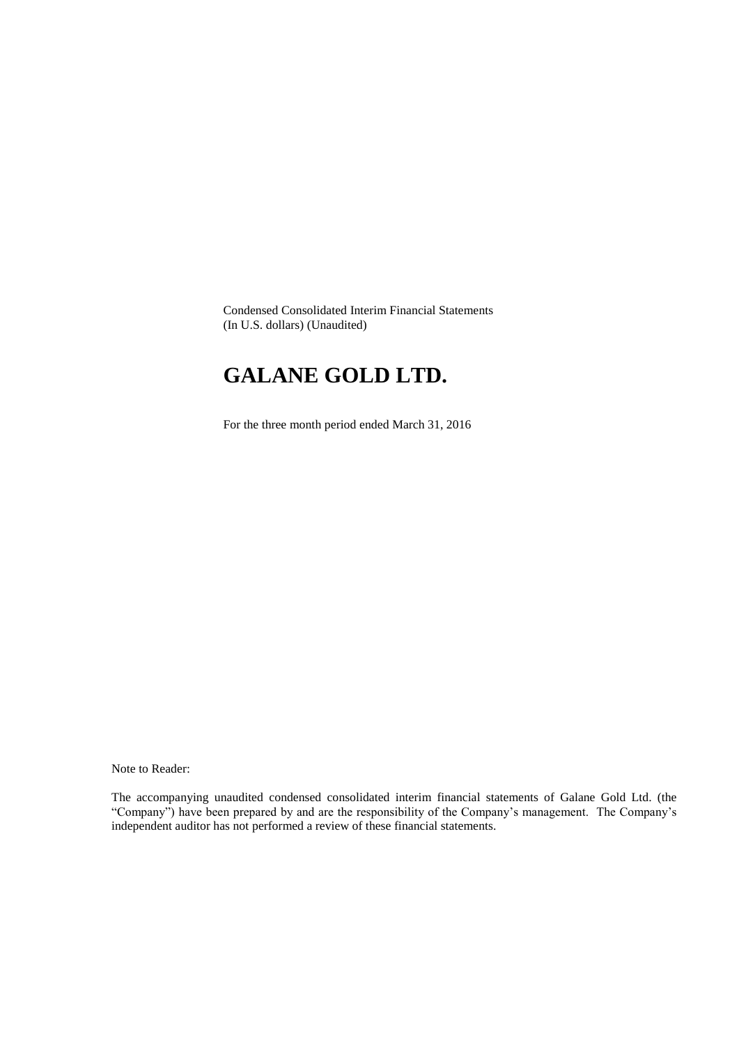Condensed Consolidated Interim Financial Statements (In U.S. dollars) (Unaudited)

# **GALANE GOLD LTD.**

For the three month period ended March 31, 2016

Note to Reader:

The accompanying unaudited condensed consolidated interim financial statements of Galane Gold Ltd. (the "Company") have been prepared by and are the responsibility of the Company's management. The Company's independent auditor has not performed a review of these financial statements.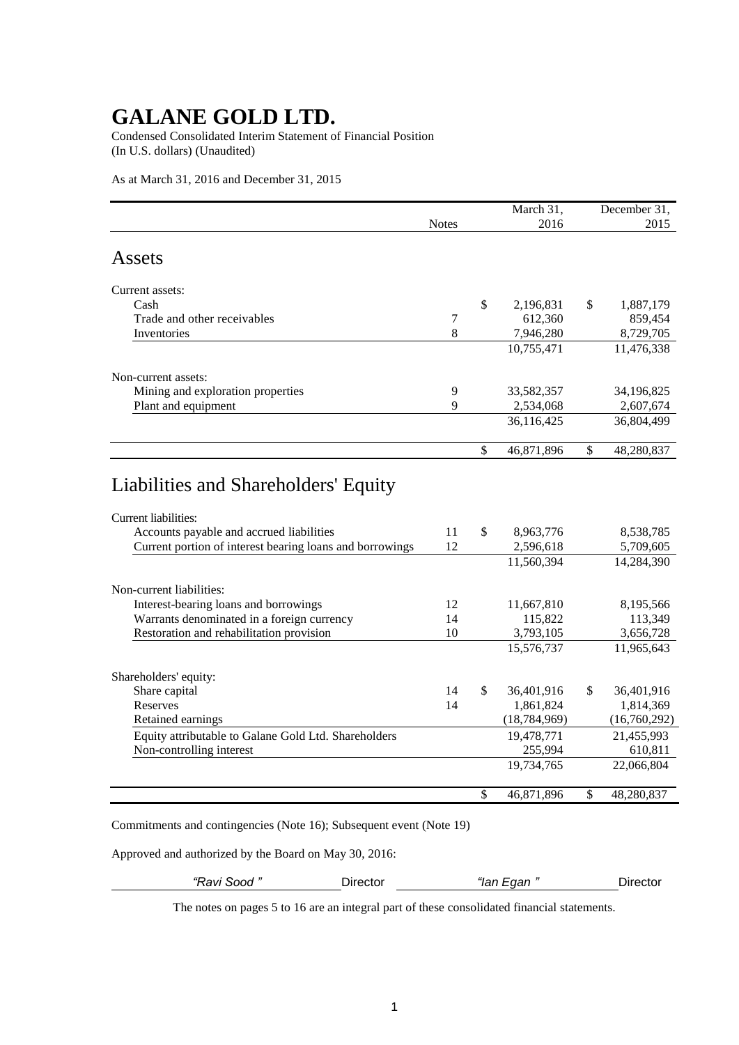Condensed Consolidated Interim Statement of Financial Position (In U.S. dollars) (Unaudited)

As at March 31, 2016 and December 31, 2015

|                                                                                                                 |                  |               | March 31,               |              | December 31, |
|-----------------------------------------------------------------------------------------------------------------|------------------|---------------|-------------------------|--------------|--------------|
|                                                                                                                 | <b>Notes</b>     |               | 2016                    |              | 2015         |
|                                                                                                                 |                  |               |                         |              |              |
| Assets                                                                                                          |                  |               |                         |              |              |
| Current assets:                                                                                                 |                  |               |                         |              |              |
| Cash                                                                                                            |                  | $\mathbb{S}$  | 2,196,831               | \$           | 1,887,179    |
| Trade and other receivables                                                                                     | $\boldsymbol{7}$ |               | 612,360                 |              | 859,454      |
| Inventories                                                                                                     | 8                |               | 7,946,280               |              | 8,729,705    |
|                                                                                                                 |                  |               | $10,75\overline{5,471}$ |              | 11,476,338   |
| Non-current assets:                                                                                             |                  |               |                         |              |              |
| Mining and exploration properties                                                                               | 9                |               | 33,582,357              |              | 34,196,825   |
| Plant and equipment                                                                                             | 9                |               | 2,534,068               |              | 2,607,674    |
|                                                                                                                 |                  |               | 36,116,425              |              | 36,804,499   |
|                                                                                                                 |                  | \$            | 46,871,896              | $\mathbb{S}$ | 48,280,837   |
| Liabilities and Shareholders' Equity<br><b>Current liabilities:</b><br>Accounts payable and accrued liabilities | 11               | $\mathcal{S}$ | 8,963,776               |              | 8,538,785    |
| Current portion of interest bearing loans and borrowings                                                        | 12               |               | 2,596,618               |              | 5,709,605    |
|                                                                                                                 |                  |               | 11,560,394              |              | 14,284,390   |
| Non-current liabilities:                                                                                        |                  |               |                         |              |              |
| Interest-bearing loans and borrowings                                                                           | 12               |               | 11,667,810              |              | 8,195,566    |
| Warrants denominated in a foreign currency                                                                      | 14               |               | 115,822                 |              | 113,349      |
| Restoration and rehabilitation provision                                                                        | 10               |               | 3,793,105               |              | 3,656,728    |
|                                                                                                                 |                  |               | 15,576,737              |              | 11,965,643   |
| Shareholders' equity:                                                                                           |                  |               |                         |              |              |
| Share capital                                                                                                   | 14               | \$            | 36,401,916              | \$           | 36,401,916   |
| Reserves                                                                                                        | 14               |               | 1,861,824               |              | 1,814,369    |
| Retained earnings                                                                                               |                  |               | (18, 784, 969)          |              | (16,760,292) |
| Equity attributable to Galane Gold Ltd. Shareholders                                                            |                  |               | 19,478,771              |              | 21,455,993   |
| Non-controlling interest                                                                                        |                  |               | 255,994                 |              | 610,811      |
|                                                                                                                 |                  |               | 19,734,765              |              | 22,066,804   |
|                                                                                                                 |                  | \$            | 46,871,896              | \$           | 48,280,837   |

Commitments and contingencies (Note 16); Subsequent event (Note 19)

Approved and authorized by the Board on May 30, 2016:

*"Ravi Sood "* Director *"Ian Egan "* Director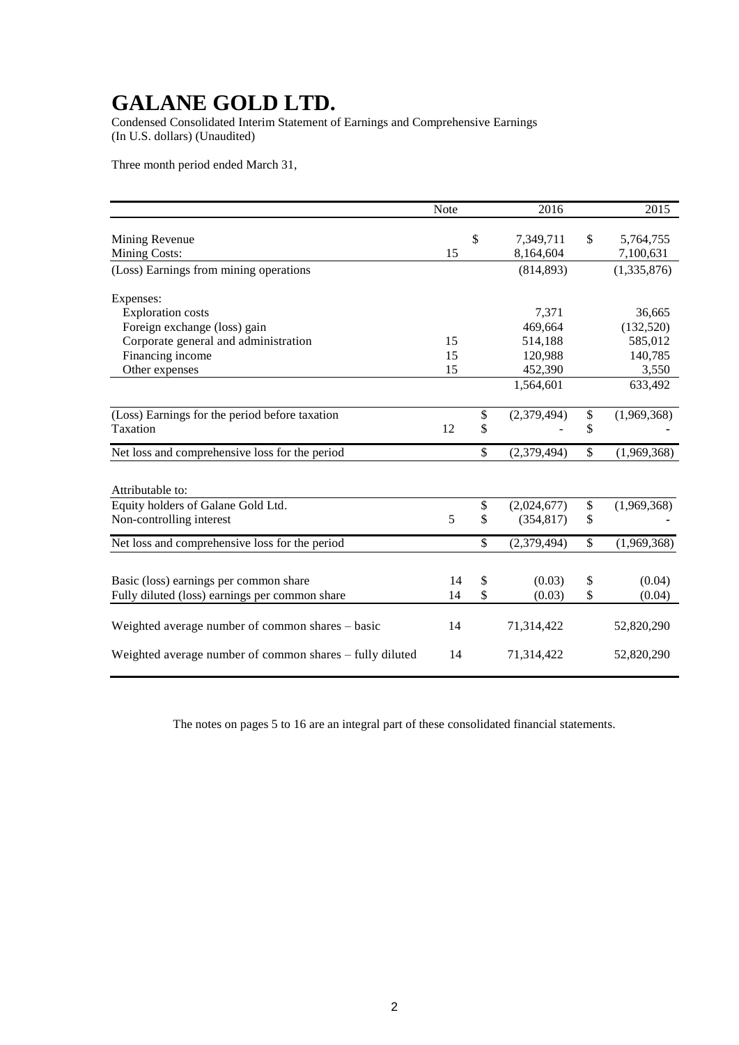Condensed Consolidated Interim Statement of Earnings and Comprehensive Earnings (In U.S. dollars) (Unaudited)

Three month period ended March 31,

|                                                          | Note | 2016              |              | 2015        |
|----------------------------------------------------------|------|-------------------|--------------|-------------|
| Mining Revenue                                           |      | \$<br>7,349,711   | \$           | 5,764,755   |
| <b>Mining Costs:</b>                                     | 15   | 8,164,604         |              | 7,100,631   |
| (Loss) Earnings from mining operations                   |      | (814, 893)        |              | (1,335,876) |
| Expenses:                                                |      |                   |              |             |
| <b>Exploration</b> costs                                 |      | 7,371             |              | 36,665      |
| Foreign exchange (loss) gain                             |      | 469,664           |              | (132,520)   |
| Corporate general and administration                     | 15   | 514,188           |              | 585,012     |
| Financing income                                         | 15   | 120,988           |              | 140,785     |
| Other expenses                                           | 15   | 452,390           |              | 3,550       |
|                                                          |      | 1,564,601         |              | 633,492     |
| (Loss) Earnings for the period before taxation           |      | \$<br>(2,379,494) | \$           | (1,969,368) |
| Taxation                                                 | 12   | \$                | \$           |             |
| Net loss and comprehensive loss for the period           |      | \$<br>(2,379,494) | $\mathbb{S}$ | (1,969,368) |
| Attributable to:                                         |      |                   |              |             |
| Equity holders of Galane Gold Ltd.                       |      | \$<br>(2,024,677) | \$           | (1,969,368) |
| Non-controlling interest                                 | 5    | \$<br>(354, 817)  | \$           |             |
| Net loss and comprehensive loss for the period           |      | \$<br>(2,379,494) | \$           | (1,969,368) |
|                                                          |      |                   |              |             |
| Basic (loss) earnings per common share                   | 14   | \$<br>(0.03)      | \$           | (0.04)      |
| Fully diluted (loss) earnings per common share           | 14   | \$<br>(0.03)      | \$           | (0.04)      |
| Weighted average number of common shares - basic         | 14   | 71,314,422        |              | 52,820,290  |
| Weighted average number of common shares – fully diluted | 14   | 71,314,422        |              | 52,820,290  |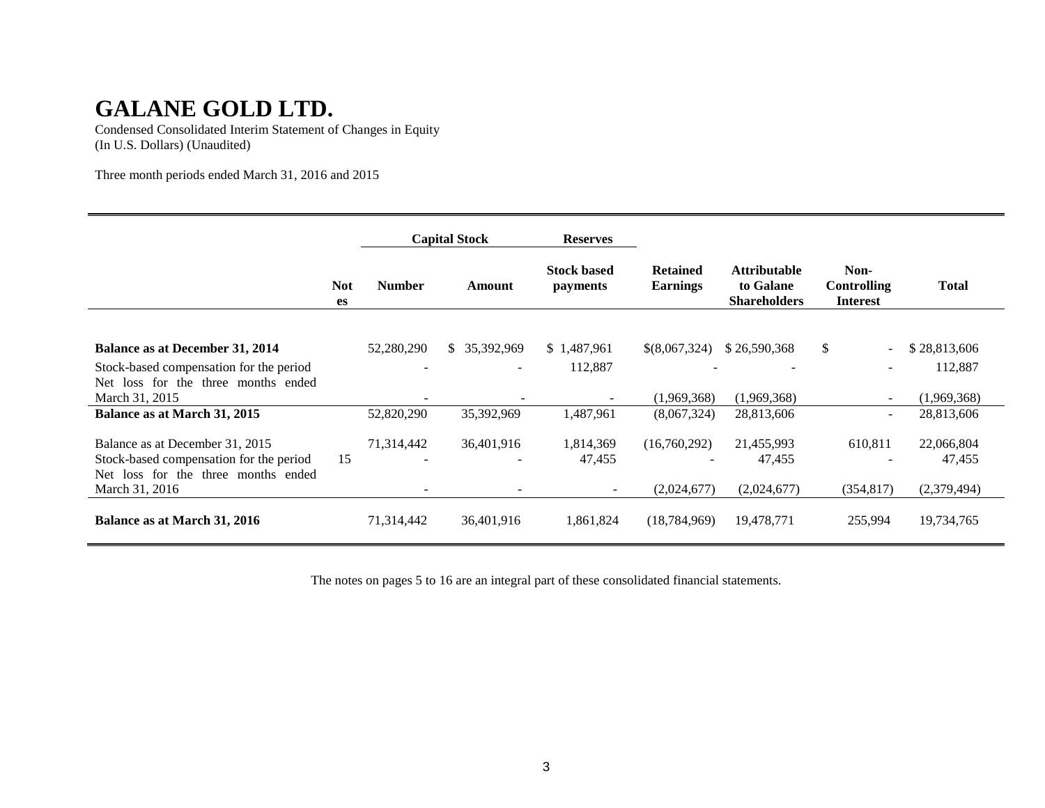Condensed Consolidated Interim Statement of Changes in Equity (In U.S. Dollars) (Unaudited)

Three month periods ended March 31, 2016 and 2015

|                                                       |                  | <b>Capital Stock</b><br><b>Reserves</b> |                  |                                       |                                    |                                                         |                                               |              |
|-------------------------------------------------------|------------------|-----------------------------------------|------------------|---------------------------------------|------------------------------------|---------------------------------------------------------|-----------------------------------------------|--------------|
|                                                       | <b>Not</b><br>es | <b>Number</b>                           | <b>Amount</b>    | <b>Stock based</b><br><i>payments</i> | <b>Retained</b><br><b>Earnings</b> | <b>Attributable</b><br>to Galane<br><b>Shareholders</b> | Non-<br><b>Controlling</b><br><b>Interest</b> | <b>Total</b> |
|                                                       |                  |                                         |                  |                                       |                                    |                                                         |                                               |              |
| Balance as at December 31, 2014                       |                  | 52,280,290                              | 35,392,969<br>S. | \$1,487,961                           | \$(8,067,324)                      | \$26,590,368                                            | \$<br>$\blacksquare$                          | \$28,813,606 |
| Stock-based compensation for the period               |                  |                                         |                  | 112,887                               |                                    |                                                         | $\overline{\phantom{0}}$                      | 112,887      |
| Net loss for the three months ended<br>March 31, 2015 |                  |                                         |                  |                                       | (1,969,368)                        | (1,969,368)                                             | $\overline{\phantom{a}}$                      | (1,969,368)  |
| Balance as at March 31, 2015                          |                  | 52,820,290                              | 35,392,969       | 1,487,961                             | (8,067,324)                        | 28,813,606                                              | $\overline{\phantom{a}}$                      | 28,813,606   |
| Balance as at December 31, 2015                       |                  | 71,314,442                              | 36,401,916       | 1,814,369                             | (16,760,292)                       | 21,455,993                                              | 610,811                                       | 22,066,804   |
| Stock-based compensation for the period               | 15               |                                         |                  | 47,455                                |                                    | 47,455                                                  | $\overline{\phantom{0}}$                      | 47,455       |
| Net loss for the three months ended<br>March 31, 2016 |                  | $\overline{\phantom{a}}$                |                  |                                       | (2,024,677)                        | (2,024,677)                                             | (354, 817)                                    | (2,379,494)  |
| Balance as at March 31, 2016                          |                  | 71,314,442                              | 36,401,916       | 1,861,824                             | (18, 784, 969)                     | 19,478,771                                              | 255,994                                       | 19,734,765   |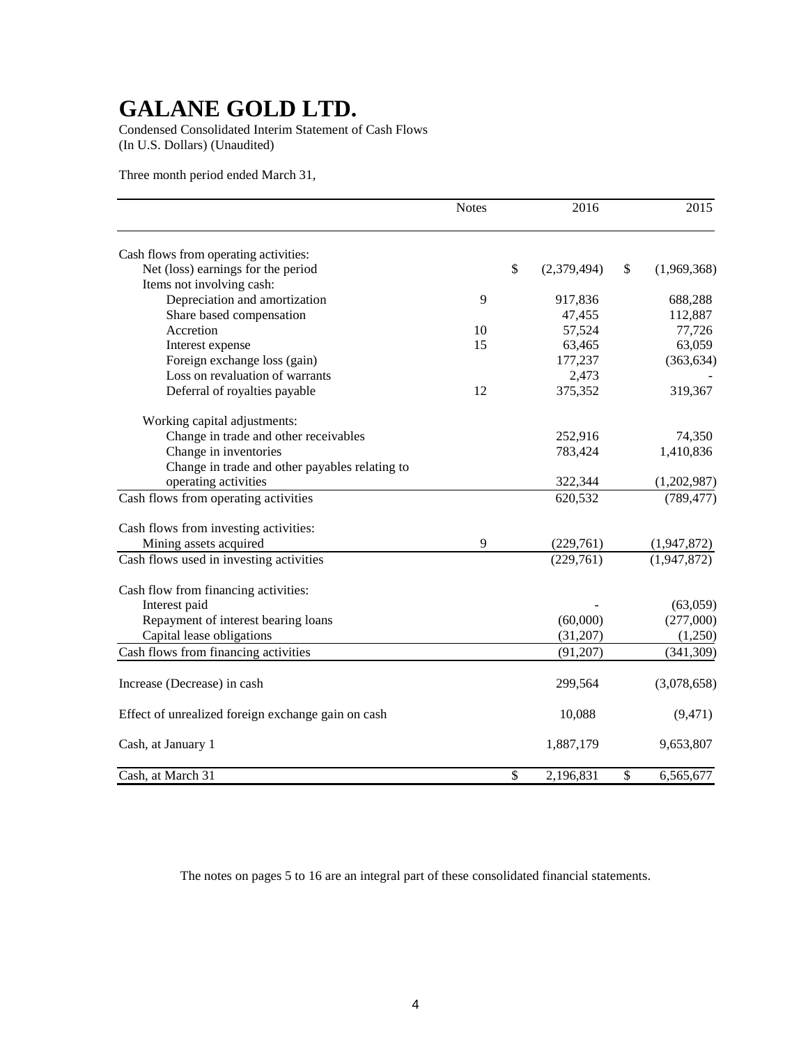Condensed Consolidated Interim Statement of Cash Flows (In U.S. Dollars) (Unaudited)

Three month period ended March 31,

|                                                    | <b>Notes</b> | 2016              | 2015              |
|----------------------------------------------------|--------------|-------------------|-------------------|
| Cash flows from operating activities:              |              |                   |                   |
| Net (loss) earnings for the period                 |              | \$<br>(2,379,494) | \$<br>(1,969,368) |
| Items not involving cash:                          |              |                   |                   |
| Depreciation and amortization                      | 9            | 917,836           | 688,288           |
| Share based compensation                           |              | 47,455            | 112,887           |
| Accretion                                          | 10           | 57,524            | 77,726            |
| Interest expense                                   | 15           | 63,465            | 63,059            |
| Foreign exchange loss (gain)                       |              | 177,237           | (363, 634)        |
| Loss on revaluation of warrants                    |              | 2,473             |                   |
| Deferral of royalties payable                      | 12           | 375,352           | 319,367           |
| Working capital adjustments:                       |              |                   |                   |
| Change in trade and other receivables              |              | 252,916           | 74,350            |
| Change in inventories                              |              | 783,424           | 1,410,836         |
| Change in trade and other payables relating to     |              |                   |                   |
| operating activities                               |              | 322,344           | (1,202,987)       |
| Cash flows from operating activities               |              | 620,532           | (789, 477)        |
| Cash flows from investing activities:              |              |                   |                   |
| Mining assets acquired                             | 9            | (229,761)         | (1,947,872)       |
| Cash flows used in investing activities            |              | (229,761)         | (1,947,872)       |
| Cash flow from financing activities:               |              |                   |                   |
| Interest paid                                      |              |                   | (63,059)          |
| Repayment of interest bearing loans                |              | (60,000)          | (277,000)         |
| Capital lease obligations                          |              | (31,207)          | (1,250)           |
| Cash flows from financing activities               |              | (91, 207)         | (341, 309)        |
| Increase (Decrease) in cash                        |              | 299,564           | (3,078,658)       |
| Effect of unrealized foreign exchange gain on cash |              | 10,088            | (9, 471)          |
| Cash, at January 1                                 |              | 1,887,179         | 9,653,807         |
| Cash, at March 31                                  |              | \$<br>2,196,831   | \$<br>6,565,677   |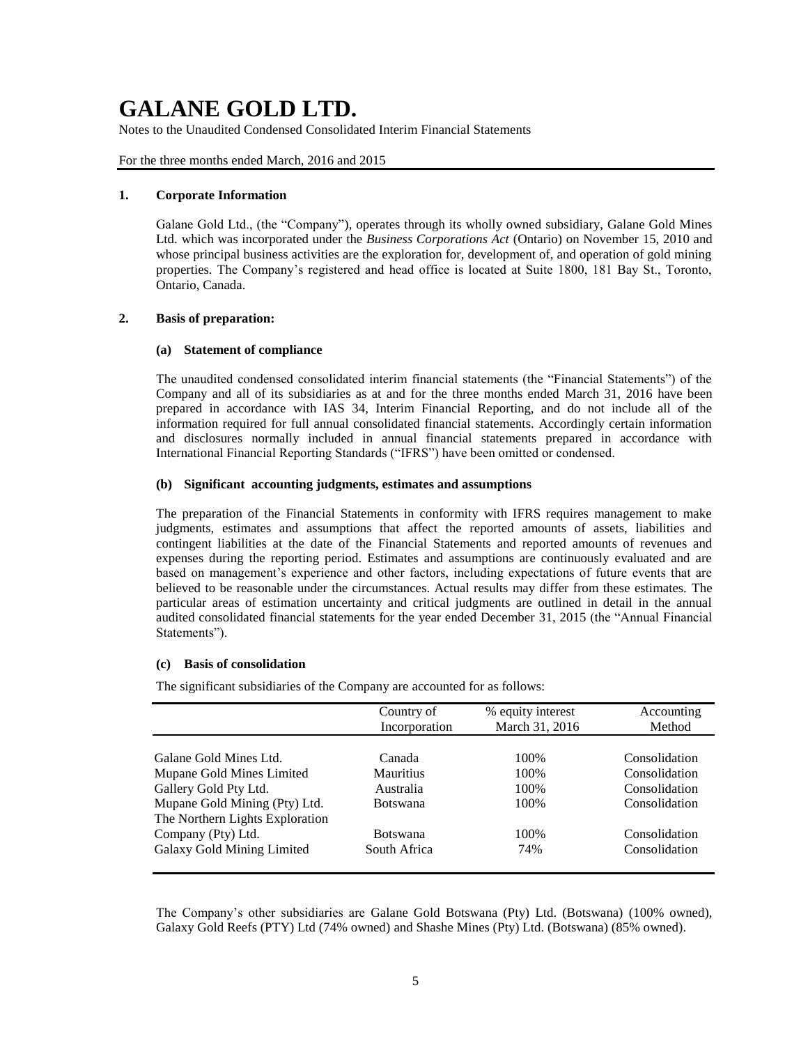Notes to the Unaudited Condensed Consolidated Interim Financial Statements

For the three months ended March, 2016 and 2015

## **1. Corporate Information**

Galane Gold Ltd., (the "Company"), operates through its wholly owned subsidiary, Galane Gold Mines Ltd. which was incorporated under the *Business Corporations Act* (Ontario) on November 15, 2010 and whose principal business activities are the exploration for, development of, and operation of gold mining properties. The Company's registered and head office is located at Suite 1800, 181 Bay St., Toronto, Ontario, Canada.

## **2. Basis of preparation:**

### **(a) Statement of compliance**

The unaudited condensed consolidated interim financial statements (the "Financial Statements") of the Company and all of its subsidiaries as at and for the three months ended March 31, 2016 have been prepared in accordance with IAS 34, Interim Financial Reporting, and do not include all of the information required for full annual consolidated financial statements. Accordingly certain information and disclosures normally included in annual financial statements prepared in accordance with International Financial Reporting Standards ("IFRS") have been omitted or condensed.

## **(b) Significant accounting judgments, estimates and assumptions**

The preparation of the Financial Statements in conformity with IFRS requires management to make judgments, estimates and assumptions that affect the reported amounts of assets, liabilities and contingent liabilities at the date of the Financial Statements and reported amounts of revenues and expenses during the reporting period. Estimates and assumptions are continuously evaluated and are based on management's experience and other factors, including expectations of future events that are believed to be reasonable under the circumstances. Actual results may differ from these estimates. The particular areas of estimation uncertainty and critical judgments are outlined in detail in the annual audited consolidated financial statements for the year ended December 31, 2015 (the "Annual Financial Statements").

### **(c) Basis of consolidation**

The significant subsidiaries of the Company are accounted for as follows:

|                                 | Country of<br>Incorporation | % equity interest<br>March 31, 2016 | Accounting<br>Method |
|---------------------------------|-----------------------------|-------------------------------------|----------------------|
|                                 |                             |                                     |                      |
| Galane Gold Mines Ltd.          | Canada                      | 100\%                               | Consolidation        |
| Mupane Gold Mines Limited       | <b>Mauritius</b>            | 100%                                | Consolidation        |
| Gallery Gold Pty Ltd.           | Australia                   | 100%                                | Consolidation        |
| Mupane Gold Mining (Pty) Ltd.   | <b>Botswana</b>             | 100\%                               | Consolidation        |
| The Northern Lights Exploration |                             |                                     |                      |
| Company (Pty) Ltd.              | <b>Botswana</b>             | 100\%                               | Consolidation        |
| Galaxy Gold Mining Limited      | South Africa                | 74%                                 | Consolidation        |
|                                 |                             |                                     |                      |

The Company's other subsidiaries are Galane Gold Botswana (Pty) Ltd. (Botswana) (100% owned), Galaxy Gold Reefs (PTY) Ltd (74% owned) and Shashe Mines (Pty) Ltd. (Botswana) (85% owned).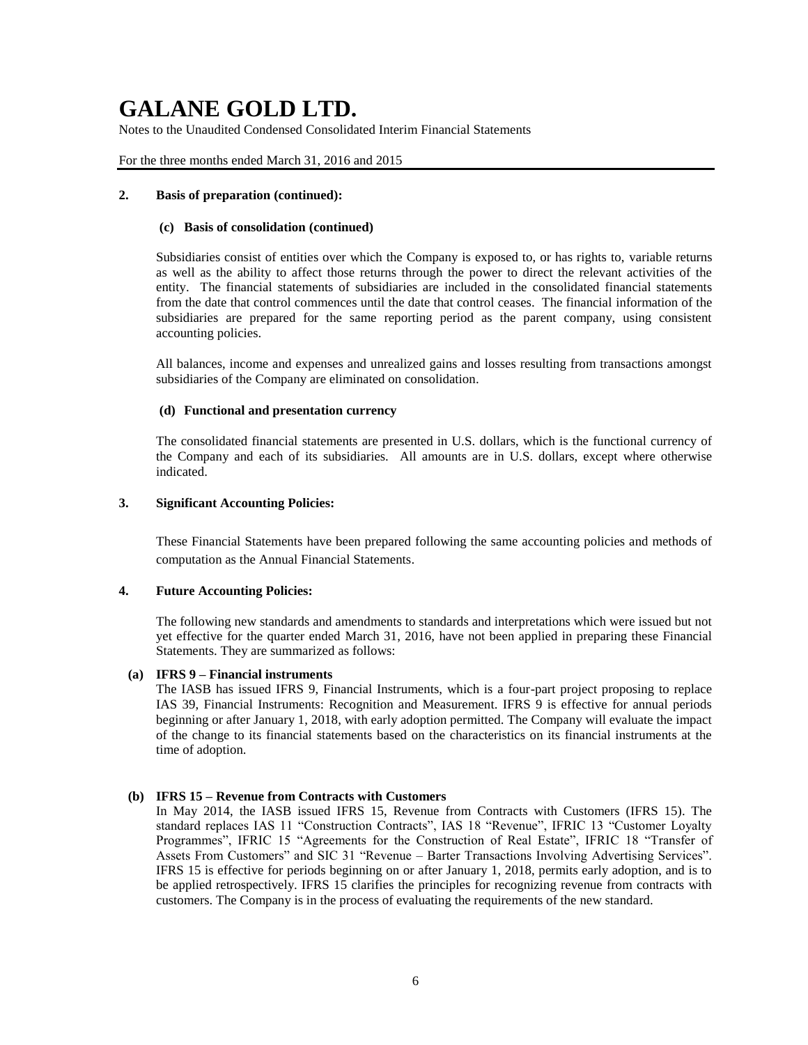Notes to the Unaudited Condensed Consolidated Interim Financial Statements

For the three months ended March 31, 2016 and 2015

### **2. Basis of preparation (continued):**

### **(c) Basis of consolidation (continued)**

Subsidiaries consist of entities over which the Company is exposed to, or has rights to, variable returns as well as the ability to affect those returns through the power to direct the relevant activities of the entity. The financial statements of subsidiaries are included in the consolidated financial statements from the date that control commences until the date that control ceases. The financial information of the subsidiaries are prepared for the same reporting period as the parent company, using consistent accounting policies.

All balances, income and expenses and unrealized gains and losses resulting from transactions amongst subsidiaries of the Company are eliminated on consolidation.

### **(d) Functional and presentation currency**

The consolidated financial statements are presented in U.S. dollars, which is the functional currency of the Company and each of its subsidiaries. All amounts are in U.S. dollars, except where otherwise indicated.

## **3. Significant Accounting Policies:**

These Financial Statements have been prepared following the same accounting policies and methods of computation as the Annual Financial Statements.

### **4. Future Accounting Policies:**

The following new standards and amendments to standards and interpretations which were issued but not yet effective for the quarter ended March 31, 2016, have not been applied in preparing these Financial Statements. They are summarized as follows:

### **(a) IFRS 9 – Financial instruments**

The IASB has issued IFRS 9, Financial Instruments, which is a four-part project proposing to replace IAS 39, Financial Instruments: Recognition and Measurement. IFRS 9 is effective for annual periods beginning or after January 1, 2018, with early adoption permitted. The Company will evaluate the impact of the change to its financial statements based on the characteristics on its financial instruments at the time of adoption.

### **(b) IFRS 15 – Revenue from Contracts with Customers**

In May 2014, the IASB issued IFRS 15, Revenue from Contracts with Customers (IFRS 15). The standard replaces IAS 11 "Construction Contracts", IAS 18 "Revenue", IFRIC 13 "Customer Loyalty Programmes", IFRIC 15 "Agreements for the Construction of Real Estate", IFRIC 18 "Transfer of Assets From Customers" and SIC 31 "Revenue – Barter Transactions Involving Advertising Services". IFRS 15 is effective for periods beginning on or after January 1, 2018, permits early adoption, and is to be applied retrospectively. IFRS 15 clarifies the principles for recognizing revenue from contracts with customers. The Company is in the process of evaluating the requirements of the new standard.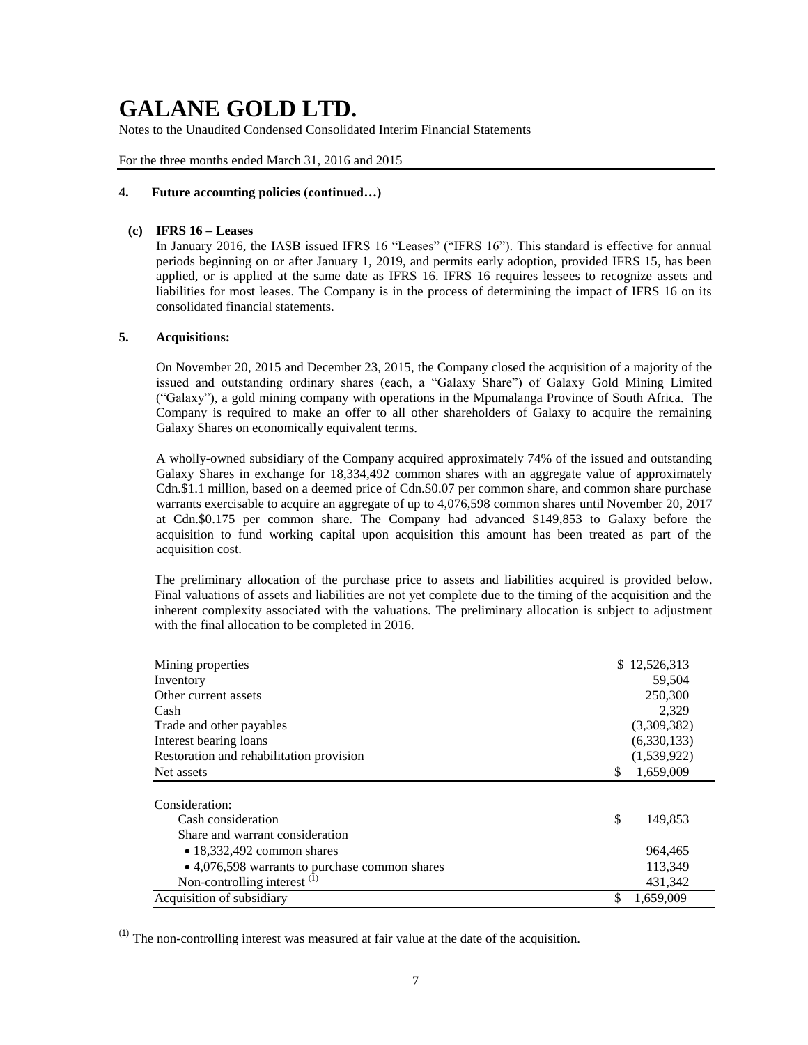Notes to the Unaudited Condensed Consolidated Interim Financial Statements

For the three months ended March 31, 2016 and 2015

## **4. Future accounting policies (continued…)**

## **(c) IFRS 16 – Leases**

In January 2016, the IASB issued IFRS 16 "Leases" ("IFRS 16"). This standard is effective for annual periods beginning on or after January 1, 2019, and permits early adoption, provided IFRS 15, has been applied, or is applied at the same date as IFRS 16. IFRS 16 requires lessees to recognize assets and liabilities for most leases. The Company is in the process of determining the impact of IFRS 16 on its consolidated financial statements.

### **5. Acquisitions:**

On November 20, 2015 and December 23, 2015, the Company closed the acquisition of a majority of the issued and outstanding ordinary shares (each, a "Galaxy Share") of Galaxy Gold Mining Limited ("Galaxy"), a gold mining company with operations in the Mpumalanga Province of South Africa. The Company is required to make an offer to all other shareholders of Galaxy to acquire the remaining Galaxy Shares on economically equivalent terms.

A wholly-owned subsidiary of the Company acquired approximately 74% of the issued and outstanding Galaxy Shares in exchange for 18,334,492 common shares with an aggregate value of approximately Cdn.\$1.1 million, based on a deemed price of Cdn.\$0.07 per common share, and common share purchase warrants exercisable to acquire an aggregate of up to 4,076,598 common shares until November 20, 2017 at Cdn.\$0.175 per common share. The Company had advanced \$149,853 to Galaxy before the acquisition to fund working capital upon acquisition this amount has been treated as part of the acquisition cost.

The preliminary allocation of the purchase price to assets and liabilities acquired is provided below. Final valuations of assets and liabilities are not yet complete due to the timing of the acquisition and the inherent complexity associated with the valuations. The preliminary allocation is subject to adjustment with the final allocation to be completed in 2016.

| Mining properties                              | \$12,526,313    |
|------------------------------------------------|-----------------|
| Inventory                                      | 59,504          |
| Other current assets                           | 250,300         |
| Cash                                           | 2,329           |
| Trade and other payables                       | (3,309,382)     |
| Interest bearing loans                         | (6,330,133)     |
| Restoration and rehabilitation provision       | (1,539,922)     |
| Net assets                                     | \$<br>1,659,009 |
|                                                |                 |
| Consideration:                                 |                 |
| Cash consideration                             | \$<br>149.853   |
| Share and warrant consideration                |                 |
| $\bullet$ 18,332,492 common shares             | 964,465         |
| • 4,076,598 warrants to purchase common shares | 113,349         |
| Non-controlling interest $(I)$                 | 431,342         |
| Acquisition of subsidiary                      | \$<br>1,659,009 |

 $<sup>(1)</sup>$  The non-controlling interest was measured at fair value at the date of the acquisition.</sup>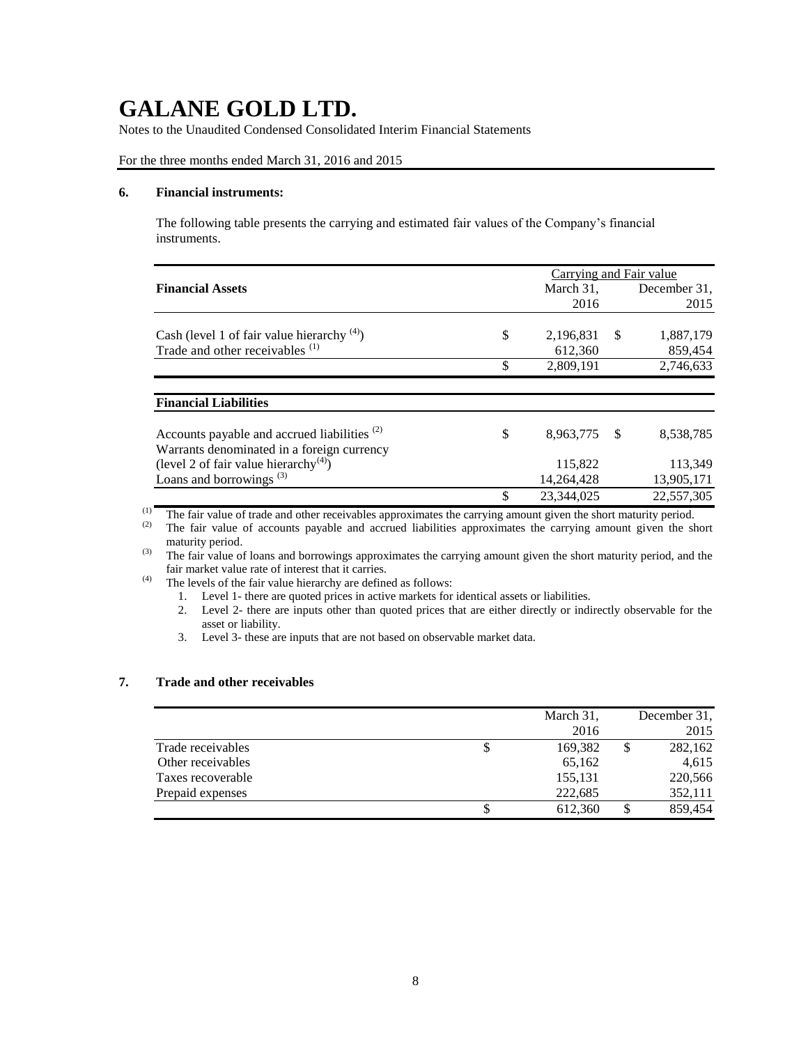Notes to the Unaudited Condensed Consolidated Interim Financial Statements

For the three months ended March 31, 2016 and 2015

### **6. Financial instruments:**

The following table presents the carrying and estimated fair values of the Company's financial instruments.

|                                                         | Carrying and Fair value |               |              |
|---------------------------------------------------------|-------------------------|---------------|--------------|
| <b>Financial Assets</b>                                 | March 31,               |               | December 31. |
|                                                         | 2016                    |               | 2015         |
|                                                         |                         |               |              |
| Cash (level 1 of fair value hierarchy $(4)$ )           | \$<br>2,196,831         | <sup>\$</sup> | 1,887,179    |
| Trade and other receivables <sup>(1)</sup>              | 612,360                 |               | 859,454      |
|                                                         | \$<br>2,809,191         |               | 2,746,633    |
|                                                         |                         |               |              |
| <b>Financial Liabilities</b>                            |                         |               |              |
| Accounts payable and accrued liabilities <sup>(2)</sup> | \$<br>8.963.775         | - \$          | 8.538.785    |
| Warrants denominated in a foreign currency              |                         |               |              |
| (level 2 of fair value hierarchy <sup>(4)</sup> )       | 115,822                 |               | 113,349      |
| Loans and borrowings <sup>(3)</sup>                     | 14,264,428              |               | 13,905,171   |
|                                                         | 23.344.025              |               | 22,557,305   |

(1) The fair value of trade and other receivables approximates the carrying amount given the short maturity period.<br>(2) The fair value of accounts payable and accrued liabilities approximates the carrying amount given the

The fair value of accounts payable and accrued liabilities approximates the carrying amount given the short maturity period.

(3) The fair value of loans and borrowings approximates the carrying amount given the short maturity period, and the fair market value rate of interest that it carries.

- (4) The levels of the fair value hierarchy are defined as follows:
	- 1. Level 1- there are quoted prices in active markets for identical assets or liabilities.
	- 2. Level 2- there are inputs other than quoted prices that are either directly or indirectly observable for the asset or liability.
	- 3. Level 3- these are inputs that are not based on observable market data.

# **7. Trade and other receivables**

|                   | March 31,     | December 31. |
|-------------------|---------------|--------------|
|                   | 2016          | 2015         |
| Trade receivables | \$<br>169,382 | 282,162      |
| Other receivables | 65,162        | 4,615        |
| Taxes recoverable | 155,131       | 220,566      |
| Prepaid expenses  | 222,685       | 352,111      |
|                   | 612,360       | 859,454      |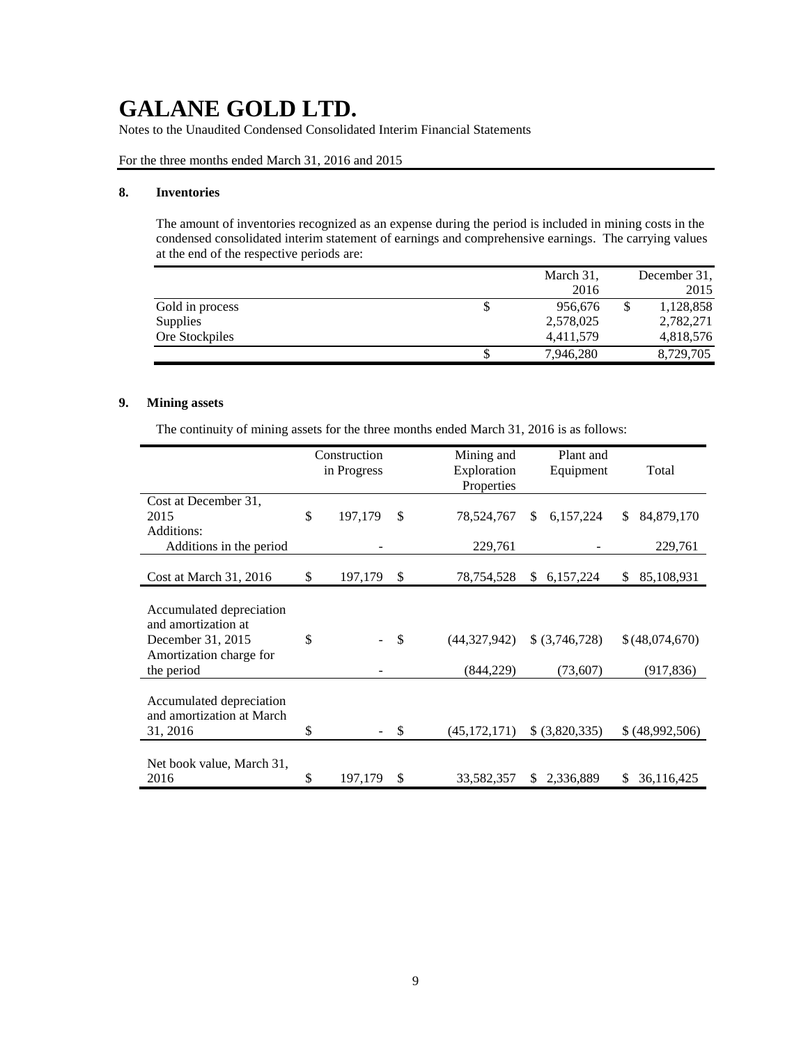Notes to the Unaudited Condensed Consolidated Interim Financial Statements

For the three months ended March 31, 2016 and 2015

### **8. Inventories**

The amount of inventories recognized as an expense during the period is included in mining costs in the condensed consolidated interim statement of earnings and comprehensive earnings. The carrying values at the end of the respective periods are:

|                 | March 31, | December 31. |
|-----------------|-----------|--------------|
|                 | 2016      | 2015         |
| Gold in process | 956,676   | 1,128,858    |
| Supplies        | 2,578,025 | 2,782,271    |
| Ore Stockpiles  | 4,411,579 | 4,818,576    |
|                 | 7,946,280 | 8,729,705    |

## **9. Mining assets**

The continuity of mining assets for the three months ended March 31, 2016 is as follows:

|                                                                                                               | Construction<br>in Progress |               | Mining and<br>Exploration<br>Properties | Plant and<br>Equipment      | Total                        |
|---------------------------------------------------------------------------------------------------------------|-----------------------------|---------------|-----------------------------------------|-----------------------------|------------------------------|
| Cost at December 31,<br>2015                                                                                  | \$<br>197,179               | $\mathcal{S}$ | 78,524,767                              | \$<br>6,157,224             | \$<br>84,879,170             |
| Additions:                                                                                                    |                             |               |                                         |                             |                              |
| Additions in the period                                                                                       |                             |               | 229,761                                 |                             | 229,761                      |
| Cost at March 31, 2016                                                                                        | \$<br>197,179               | \$            | 78,754,528                              | \$<br>6,157,224             | \$<br>85,108,931             |
| Accumulated depreciation<br>and amortization at<br>December 31, 2015<br>Amortization charge for<br>the period | \$                          | <sup>\$</sup> | (44,327,942)<br>(844, 229)              | $$$ (3,746,728)<br>(73,607) | \$(48,074,670)<br>(917, 836) |
| Accumulated depreciation<br>and amortization at March<br>31, 2016                                             | \$                          | \$            | (45, 172, 171)                          | \$ (3,820,335)              | \$(48,992,506)               |
| Net book value, March 31,<br>2016                                                                             | \$<br>197,179               | \$            | 33,582,357                              | \$<br>2,336,889             | \$<br>36,116,425             |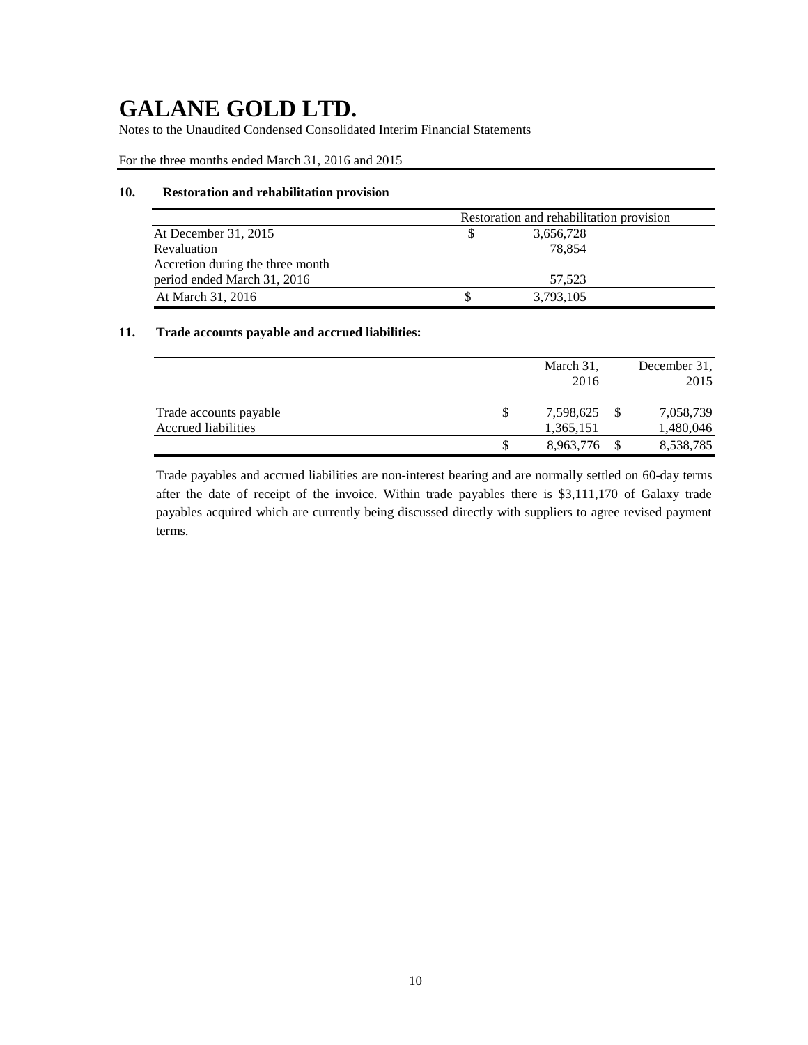Notes to the Unaudited Condensed Consolidated Interim Financial Statements

For the three months ended March 31, 2016 and 2015

## **10. Restoration and rehabilitation provision**

|                                  | Restoration and rehabilitation provision |           |  |  |  |
|----------------------------------|------------------------------------------|-----------|--|--|--|
| At December 31, 2015             |                                          | 3,656,728 |  |  |  |
| Revaluation                      |                                          | 78.854    |  |  |  |
| Accretion during the three month |                                          |           |  |  |  |
| period ended March 31, 2016      |                                          | 57.523    |  |  |  |
| At March 31, 2016                |                                          | 3,793,105 |  |  |  |

## **11. Trade accounts payable and accrued liabilities:**

|                                               | March 31,<br>2016      | December 31.<br>2015   |
|-----------------------------------------------|------------------------|------------------------|
| Trade accounts payable<br>Accrued liabilities | 7,598,625<br>1,365,151 | 7,058,739<br>1,480,046 |
|                                               | 8,963,776              | 8,538,785              |

Trade payables and accrued liabilities are non-interest bearing and are normally settled on 60-day terms after the date of receipt of the invoice. Within trade payables there is \$3,111,170 of Galaxy trade payables acquired which are currently being discussed directly with suppliers to agree revised payment terms.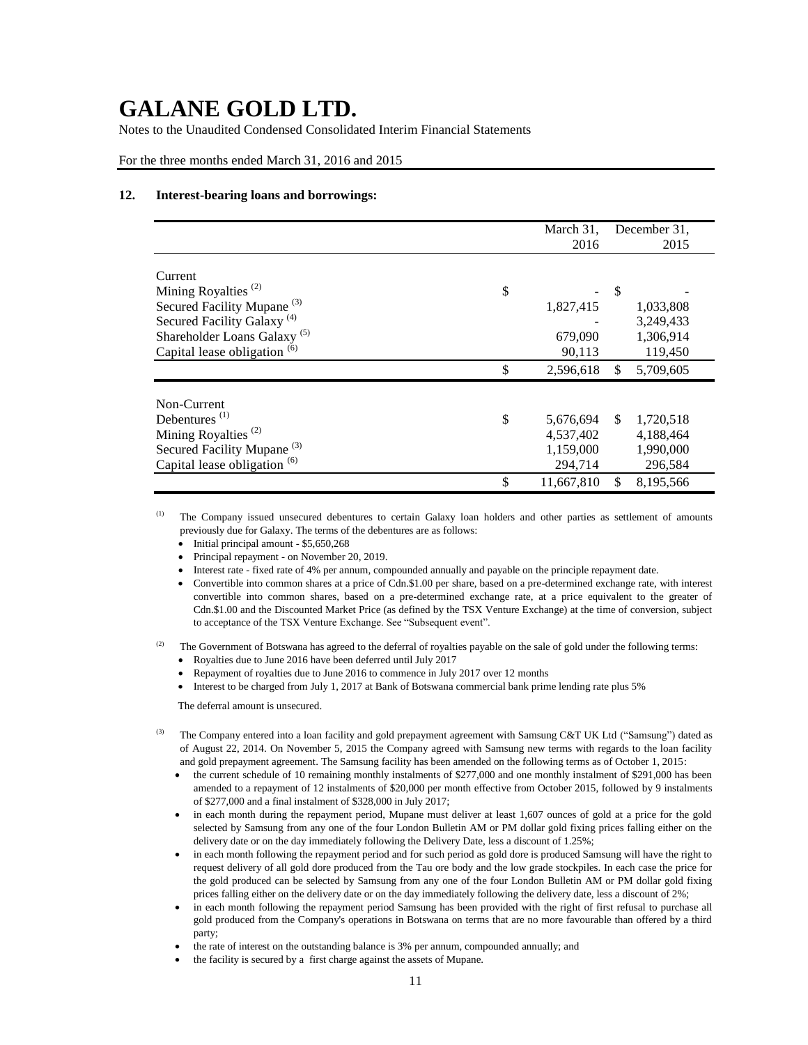Notes to the Unaudited Condensed Consolidated Interim Financial Statements

For the three months ended March 31, 2016 and 2015

## **12. Interest-bearing loans and borrowings:**

|                                              | March 31,        |               | December 31, |
|----------------------------------------------|------------------|---------------|--------------|
|                                              | 2016             |               | 2015         |
|                                              |                  |               |              |
| Current                                      |                  |               |              |
| Mining Royalties <sup>(2)</sup>              | \$               | -S            |              |
| Secured Facility Mupane <sup>(3)</sup>       | 1,827,415        |               | 1,033,808    |
| Secured Facility Galaxy <sup>(4)</sup>       |                  |               | 3,249,433    |
| Shareholder Loans Galaxy <sup>(5)</sup>      | 679,090          |               | 1,306,914    |
| Capital lease obligation (6)                 | 90,113           |               | 119,450      |
|                                              | \$<br>2,596,618  | \$            | 5,709,605    |
|                                              |                  |               |              |
| Non-Current                                  |                  |               |              |
| Debentures <sup>(1)</sup>                    | \$<br>5,676,694  | <sup>\$</sup> | 1,720,518    |
| Mining Royalties <sup><math>(2)</math></sup> | 4,537,402        |               | 4,188,464    |
| Secured Facility Mupane <sup>(3)</sup>       | 1,159,000        |               | 1,990,000    |
| Capital lease obligation <sup>(6)</sup>      | 294,714          |               | 296,584      |
|                                              | \$<br>11,667,810 | \$.           | 8,195,566    |

<sup>(1)</sup> The Company issued unsecured debentures to certain Galaxy loan holders and other parties as settlement of amounts previously due for Galaxy. The terms of the debentures are as follows:

 $\bullet$  Initial principal amount - \$5,650,268

• Principal repayment - on November 20, 2019.

- Interest rate fixed rate of 4% per annum, compounded annually and payable on the principle repayment date.
- Convertible into common shares at a price of Cdn.\$1.00 per share, based on a pre-determined exchange rate, with interest convertible into common shares, based on a pre-determined exchange rate, at a price equivalent to the greater of Cdn.\$1.00 and the Discounted Market Price (as defined by the TSX Venture Exchange) at the time of conversion, subject to acceptance of the TSX Venture Exchange. See "Subsequent event".

The Government of Botswana has agreed to the deferral of royalties payable on the sale of gold under the following terms:

- Royalties due to June 2016 have been deferred until July 2017
- Repayment of royalties due to June 2016 to commence in July 2017 over 12 months
- Interest to be charged from July 1, 2017 at Bank of Botswana commercial bank prime lending rate plus 5%

The deferral amount is unsecured.

- <sup>(3)</sup> The Company entered into a loan facility and gold prepayment agreement with Samsung C&T UK Ltd ("Samsung") dated as of August 22, 2014. On November 5, 2015 the Company agreed with Samsung new terms with regards to the loan facility and gold prepayment agreement. The Samsung facility has been amended on the following terms as of October 1, 2015:
	- the current schedule of 10 remaining monthly instalments of \$277,000 and one monthly instalment of \$291,000 has been amended to a repayment of 12 instalments of \$20,000 per month effective from October 2015, followed by 9 instalments of \$277,000 and a final instalment of \$328,000 in July 2017;
	- in each month during the repayment period, Mupane must deliver at least 1,607 ounces of gold at a price for the gold selected by Samsung from any one of the four London Bulletin AM or PM dollar gold fixing prices falling either on the delivery date or on the day immediately following the Delivery Date, less a discount of 1.25%;
	- in each month following the repayment period and for such period as gold dore is produced Samsung will have the right to request delivery of all gold dore produced from the Tau ore body and the low grade stockpiles. In each case the price for the gold produced can be selected by Samsung from any one of the four London Bulletin AM or PM dollar gold fixing prices falling either on the delivery date or on the day immediately following the delivery date, less a discount of 2%;
	- in each month following the repayment period Samsung has been provided with the right of first refusal to purchase all gold produced from the Company's operations in Botswana on terms that are no more favourable than offered by a third party;
	- the rate of interest on the outstanding balance is 3% per annum, compounded annually; and
	- the facility is secured by a first charge against the assets of Mupane.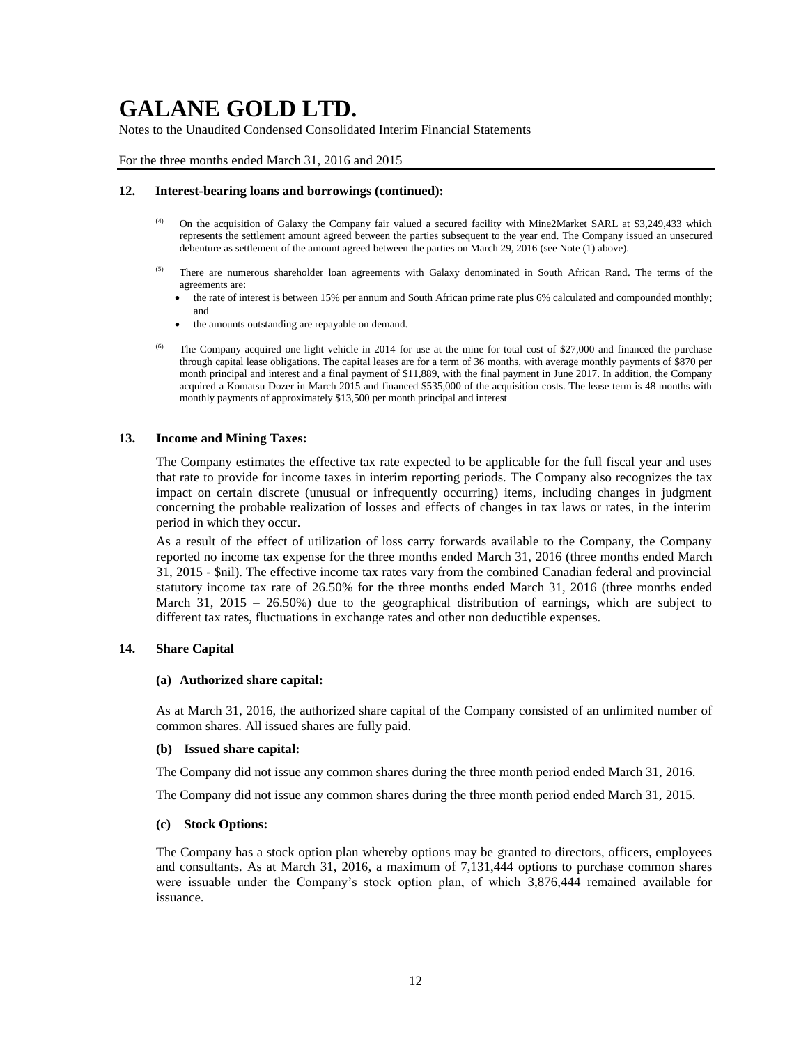Notes to the Unaudited Condensed Consolidated Interim Financial Statements

#### For the three months ended March 31, 2016 and 2015

#### **12. Interest-bearing loans and borrowings (continued):**

- (4) On the acquisition of Galaxy the Company fair valued a secured facility with Mine2Market SARL at \$3,249,433 which represents the settlement amount agreed between the parties subsequent to the year end. The Company issued an unsecured debenture as settlement of the amount agreed between the parties on March 29, 2016 (see Note (1) above).
- <sup>(5)</sup> There are numerous shareholder loan agreements with Galaxy denominated in South African Rand. The terms of the agreements are:
	- the rate of interest is between 15% per annum and South African prime rate plus 6% calculated and compounded monthly; and
	- the amounts outstanding are repayable on demand.
- <sup>(6)</sup> The Company acquired one light vehicle in 2014 for use at the mine for total cost of \$27,000 and financed the purchase through capital lease obligations. The capital leases are for a term of 36 months, with average monthly payments of \$870 per month principal and interest and a final payment of \$11,889, with the final payment in June 2017. In addition, the Company acquired a Komatsu Dozer in March 2015 and financed \$535,000 of the acquisition costs. The lease term is 48 months with monthly payments of approximately \$13,500 per month principal and interest

#### **13. Income and Mining Taxes:**

The Company estimates the effective tax rate expected to be applicable for the full fiscal year and uses that rate to provide for income taxes in interim reporting periods. The Company also recognizes the tax impact on certain discrete (unusual or infrequently occurring) items, including changes in judgment concerning the probable realization of losses and effects of changes in tax laws or rates, in the interim period in which they occur.

As a result of the effect of utilization of loss carry forwards available to the Company, the Company reported no income tax expense for the three months ended March 31, 2016 (three months ended March 31, 2015 - \$nil). The effective income tax rates vary from the combined Canadian federal and provincial statutory income tax rate of 26.50% for the three months ended March 31, 2016 (three months ended March 31, 2015 – 26.50%) due to the geographical distribution of earnings, which are subject to different tax rates, fluctuations in exchange rates and other non deductible expenses.

### **14. Share Capital**

#### **(a) Authorized share capital:**

As at March 31, 2016, the authorized share capital of the Company consisted of an unlimited number of common shares. All issued shares are fully paid.

#### **(b) Issued share capital:**

The Company did not issue any common shares during the three month period ended March 31, 2016.

The Company did not issue any common shares during the three month period ended March 31, 2015.

#### **(c) Stock Options:**

The Company has a stock option plan whereby options may be granted to directors, officers, employees and consultants. As at March 31, 2016, a maximum of 7,131,444 options to purchase common shares were issuable under the Company's stock option plan, of which 3,876,444 remained available for issuance.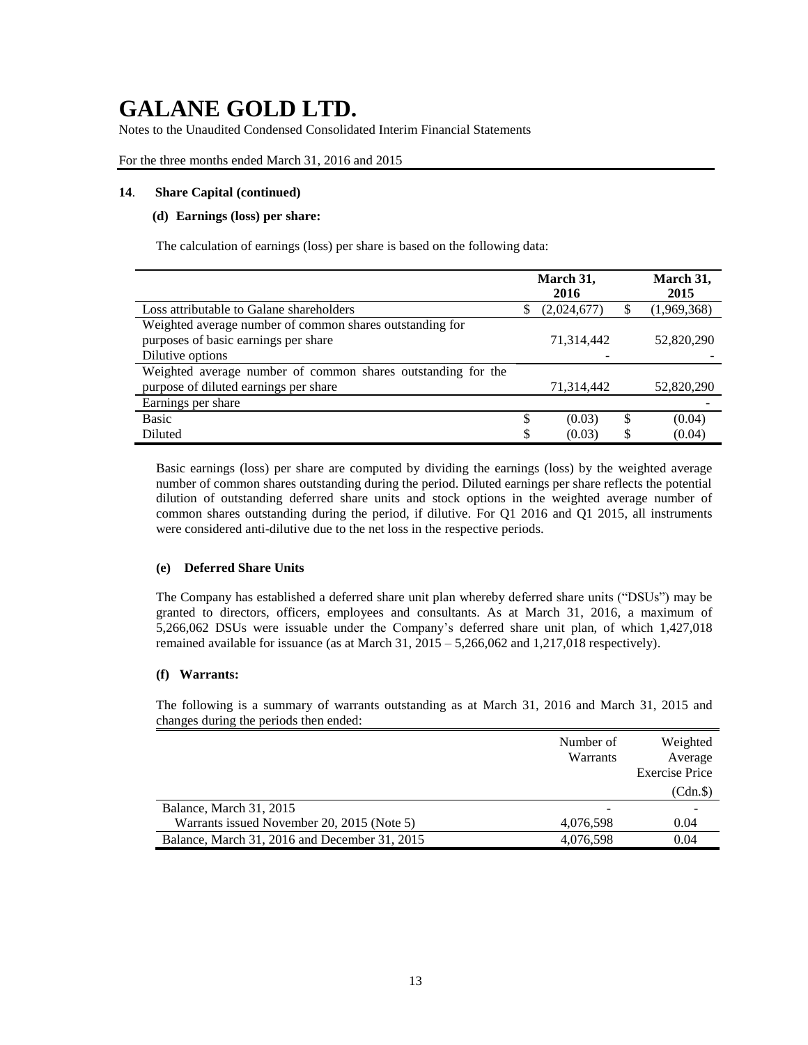Notes to the Unaudited Condensed Consolidated Interim Financial Statements

For the three months ended March 31, 2016 and 2015

### **14**. **Share Capital (continued)**

### **(d) Earnings (loss) per share:**

The calculation of earnings (loss) per share is based on the following data:

|                                                              |    | March 31,<br>2016 |    | March 31,<br>2015 |
|--------------------------------------------------------------|----|-------------------|----|-------------------|
| Loss attributable to Galane shareholders                     | S  | (2,024,677)       |    | (1,969,368)       |
| Weighted average number of common shares outstanding for     |    |                   |    |                   |
| purposes of basic earnings per share                         |    | 71,314,442        |    | 52,820,290        |
| Dilutive options                                             |    |                   |    |                   |
| Weighted average number of common shares outstanding for the |    |                   |    |                   |
| purpose of diluted earnings per share                        |    | 71,314,442        |    | 52,820,290        |
| Earnings per share                                           |    |                   |    |                   |
| <b>Basic</b>                                                 | \$ | (0.03)            | \$ | (0.04)            |
| Diluted                                                      | ¢  | (0.03)            | œ  | (0.04)            |

Basic earnings (loss) per share are computed by dividing the earnings (loss) by the weighted average number of common shares outstanding during the period. Diluted earnings per share reflects the potential dilution of outstanding deferred share units and stock options in the weighted average number of common shares outstanding during the period, if dilutive. For Q1 2016 and Q1 2015, all instruments were considered anti-dilutive due to the net loss in the respective periods.

### **(e) Deferred Share Units**

The Company has established a deferred share unit plan whereby deferred share units ("DSUs") may be granted to directors, officers, employees and consultants. As at March 31, 2016, a maximum of 5,266,062 DSUs were issuable under the Company's deferred share unit plan, of which 1,427,018 remained available for issuance (as at March 31,  $2015 - 5,266,062$  and 1,217,018 respectively).

### **(f) Warrants:**

The following is a summary of warrants outstanding as at March 31, 2016 and March 31, 2015 and changes during the periods then ended:

|                                               | Number of<br>Warrants | Weighted<br>Average<br><b>Exercise Price</b> |
|-----------------------------------------------|-----------------------|----------------------------------------------|
|                                               |                       | (Cdn.S)                                      |
| Balance, March 31, 2015                       |                       |                                              |
| Warrants issued November 20, 2015 (Note 5)    | 4,076,598             | 0.04                                         |
| Balance, March 31, 2016 and December 31, 2015 | 4,076,598             | 0.04                                         |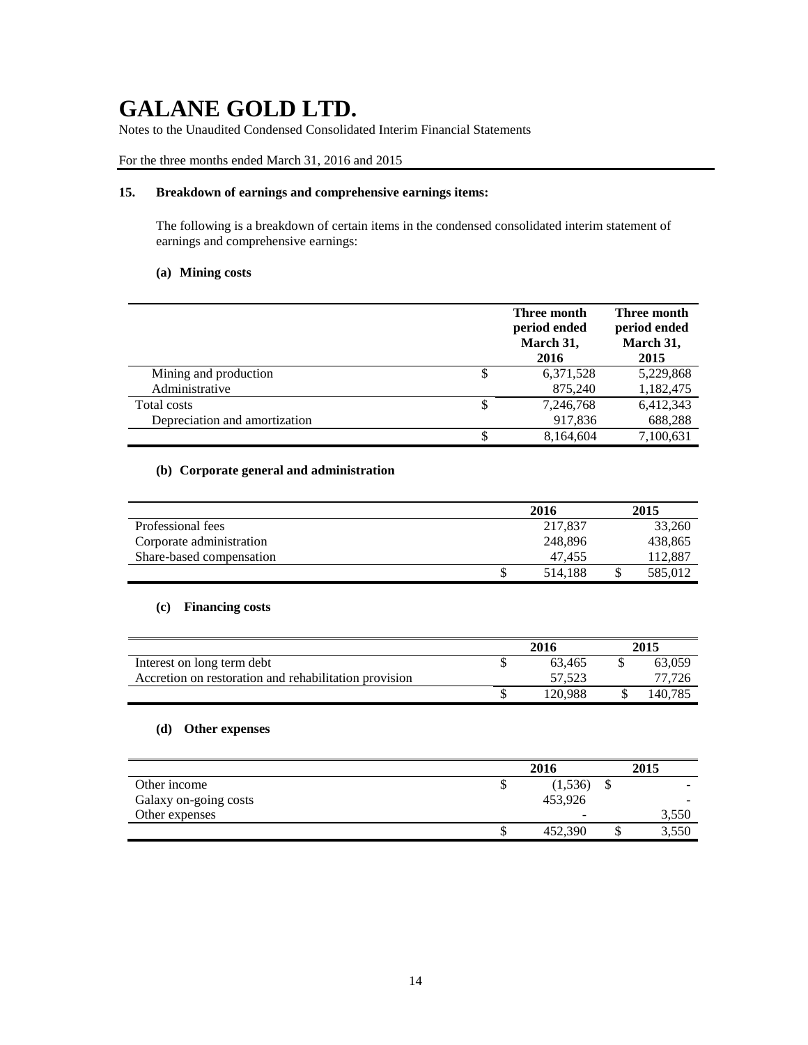Notes to the Unaudited Condensed Consolidated Interim Financial Statements

For the three months ended March 31, 2016 and 2015

## **15. Breakdown of earnings and comprehensive earnings items:**

The following is a breakdown of certain items in the condensed consolidated interim statement of earnings and comprehensive earnings:

## **(a) Mining costs**

|                               | Three month<br>period ended<br>March 31,<br>2016 | Three month<br>period ended<br>March 31,<br>2015 |
|-------------------------------|--------------------------------------------------|--------------------------------------------------|
| Mining and production         | 6,371,528                                        | 5,229,868                                        |
| Administrative                | 875,240                                          | 1,182,475                                        |
| Total costs                   | \$<br>7,246,768                                  | 6,412,343                                        |
| Depreciation and amortization | 917,836                                          | 688,288                                          |
|                               | 8,164,604                                        | 7,100,631                                        |

## **(b) Corporate general and administration**

|                          | 2016    | 2015    |
|--------------------------|---------|---------|
| Professional fees        | 217.837 | 33,260  |
| Corporate administration | 248,896 | 438,865 |
| Share-based compensation | 47.455  | 112.887 |
|                          | 514,188 | 585,012 |

### **(c) Financing costs**

|                                                       | 2016    | 2015    |
|-------------------------------------------------------|---------|---------|
| Interest on long term debt                            | 63.465  | 63.059  |
| Accretion on restoration and rehabilitation provision | 57.523  | 77.726  |
|                                                       | 120.988 | 140.785 |

## **(d) Other expenses**

|                       | 2016    | 2015  |
|-----------------------|---------|-------|
| Other income          | (1,536) | -     |
| Galaxy on-going costs | 453.926 |       |
| Other expenses        |         | 3,550 |
|                       | 452.390 | 3,550 |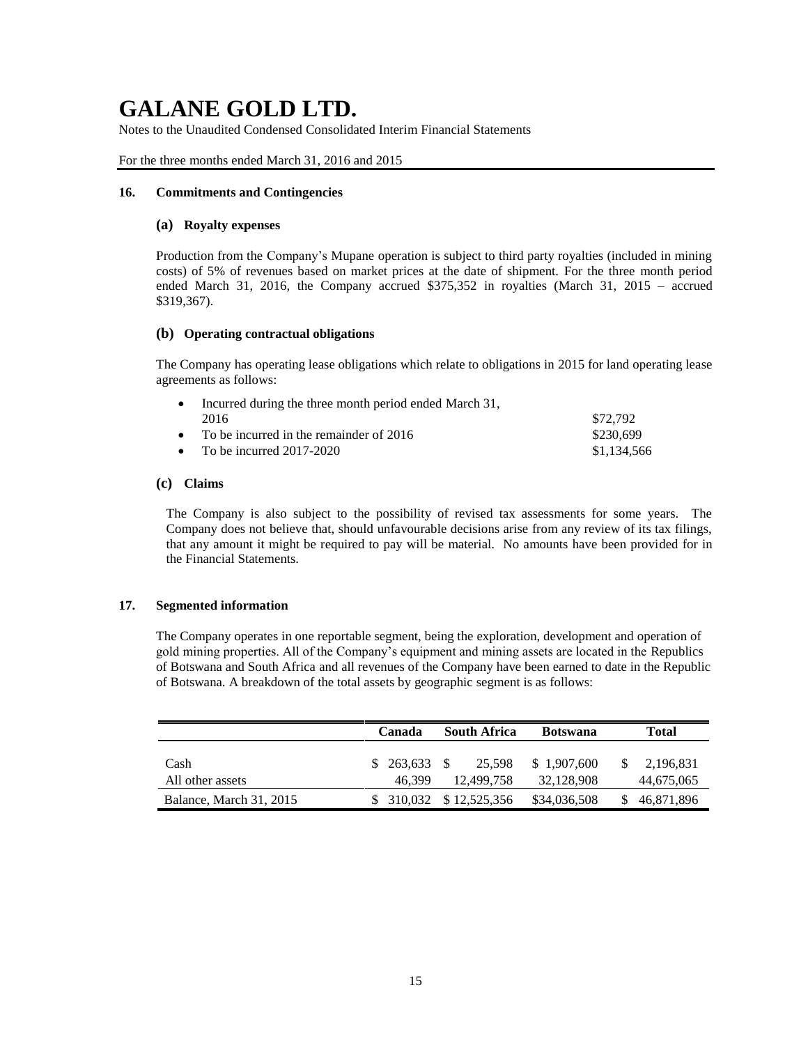Notes to the Unaudited Condensed Consolidated Interim Financial Statements

For the three months ended March 31, 2016 and 2015

### **16. Commitments and Contingencies**

### **(a) Royalty expenses**

Production from the Company's Mupane operation is subject to third party royalties (included in mining costs) of 5% of revenues based on market prices at the date of shipment. For the three month period ended March 31, 2016, the Company accrued \$375,352 in royalties (March 31, 2015 – accrued \$319,367).

### **(b) Operating contractual obligations**

The Company has operating lease obligations which relate to obligations in 2015 for land operating lease agreements as follows:

| $\bullet$ | Incurred during the three month period ended March 31, |             |
|-----------|--------------------------------------------------------|-------------|
|           | 2016                                                   | \$72.792    |
|           | • To be incurred in the remainder of $2016$            | \$230.699   |
|           | • To be incurred $2017-2020$                           | \$1,134,566 |

### **(c) Claims**

The Company is also subject to the possibility of revised tax assessments for some years. The Company does not believe that, should unfavourable decisions arise from any review of its tax filings, that any amount it might be required to pay will be material. No amounts have been provided for in the Financial Statements.

### **17. Segmented information**

The Company operates in one reportable segment, being the exploration, development and operation of gold mining properties. All of the Company's equipment and mining assets are located in the Republics of Botswana and South Africa and all revenues of the Company have been earned to date in the Republic of Botswana. A breakdown of the total assets by geographic segment is as follows:

|                          | Canada              | South Africa                 | <b>Botswana</b>           | <b>Total</b>            |
|--------------------------|---------------------|------------------------------|---------------------------|-------------------------|
| Cash<br>All other assets | \$263,633<br>46.399 | 25.598<br>- \$<br>12.499.758 | \$1.907,600<br>32,128,908 | 2,196,831<br>44,675,065 |
| Balance, March 31, 2015  |                     | \$ 310,032 \$ 12,525,356     | \$34,036,508              | 46,871,896              |